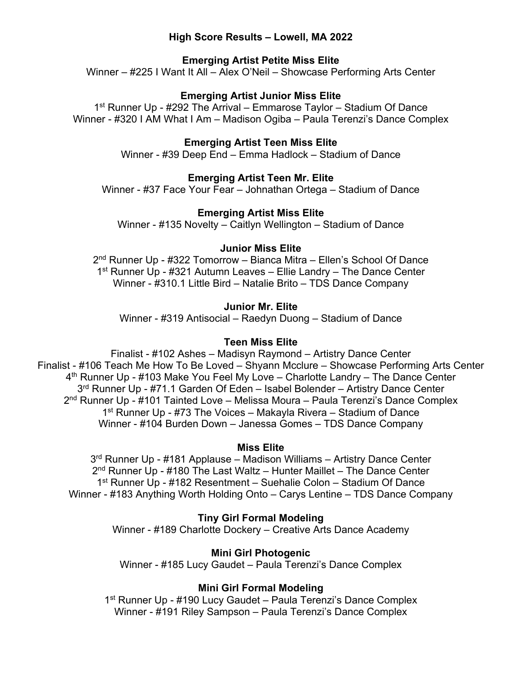## **High Score Results – Lowell, MA 2022**

# **Emerging Artist Petite Miss Elite**

Winner – #225 I Want It All – Alex O'Neil – Showcase Performing Arts Center

# **Emerging Artist Junior Miss Elite**

1<sup>st</sup> Runner Up - #292 The Arrival – Emmarose Taylor – Stadium Of Dance Winner - #320 I AM What I Am – Madison Ogiba – Paula Terenzi's Dance Complex

# **Emerging Artist Teen Miss Elite**

Winner - #39 Deep End – Emma Hadlock – Stadium of Dance

# **Emerging Artist Teen Mr. Elite**

Winner - #37 Face Your Fear – Johnathan Ortega – Stadium of Dance

## **Emerging Artist Miss Elite**

Winner - #135 Novelty – Caitlyn Wellington – Stadium of Dance

## **Junior Miss Elite**

2nd Runner Up - #322 Tomorrow – Bianca Mitra – Ellen's School Of Dance 1<sup>st</sup> Runner Up - #321 Autumn Leaves – Ellie Landry – The Dance Center Winner - #310.1 Little Bird – Natalie Brito – TDS Dance Company

## **Junior Mr. Elite**

Winner - #319 Antisocial – Raedyn Duong – Stadium of Dance

## **Teen Miss Elite**

Finalist - #102 Ashes – Madisyn Raymond – Artistry Dance Center Finalist - #106 Teach Me How To Be Loved – Shyann Mcclure – Showcase Performing Arts Center  $4<sup>th</sup>$  Runner Up - #103 Make You Feel My Love – Charlotte Landry – The Dance Center 3<sup>rd</sup> Runner Up - #71.1 Garden Of Eden – Isabel Bolender – Artistry Dance Center 2<sup>nd</sup> Runner Up - #101 Tainted Love – Melissa Moura – Paula Terenzi's Dance Complex 1<sup>st</sup> Runner Up - #73 The Voices – Makayla Rivera – Stadium of Dance Winner - #104 Burden Down – Janessa Gomes – TDS Dance Company

### **Miss Elite**

3rd Runner Up - #181 Applause – Madison Williams – Artistry Dance Center  $2<sup>nd</sup>$  Runner Up - #180 The Last Waltz – Hunter Maillet – The Dance Center 1st Runner Up - #182 Resentment – Suehalie Colon – Stadium Of Dance Winner - #183 Anything Worth Holding Onto – Carys Lentine – TDS Dance Company

## **Tiny Girl Formal Modeling**

Winner - #189 Charlotte Dockery – Creative Arts Dance Academy

## **Mini Girl Photogenic**

Winner - #185 Lucy Gaudet – Paula Terenzi's Dance Complex

## **Mini Girl Formal Modeling**

1<sup>st</sup> Runner Up - #190 Lucy Gaudet – Paula Terenzi's Dance Complex Winner - #191 Riley Sampson – Paula Terenzi's Dance Complex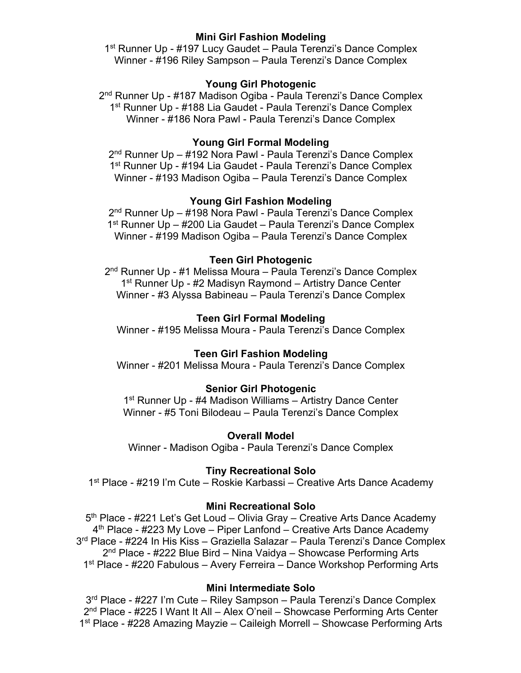## **Mini Girl Fashion Modeling**

1<sup>st</sup> Runner Up - #197 Lucy Gaudet – Paula Terenzi's Dance Complex Winner - #196 Riley Sampson – Paula Terenzi's Dance Complex

## **Young Girl Photogenic**

2<sup>nd</sup> Runner Up - #187 Madison Ogiba - Paula Terenzi's Dance Complex 1<sup>st</sup> Runner Up - #188 Lia Gaudet - Paula Terenzi's Dance Complex Winner - #186 Nora Pawl - Paula Terenzi's Dance Complex

## **Young Girl Formal Modeling**

2<sup>nd</sup> Runner Up – #192 Nora Pawl - Paula Terenzi's Dance Complex 1<sup>st</sup> Runner Up - #194 Lia Gaudet - Paula Terenzi's Dance Complex Winner - #193 Madison Ogiba – Paula Terenzi's Dance Complex

## **Young Girl Fashion Modeling**

2<sup>nd</sup> Runner Up – #198 Nora Pawl - Paula Terenzi's Dance Complex 1st Runner Up – #200 Lia Gaudet – Paula Terenzi's Dance Complex Winner - #199 Madison Ogiba – Paula Terenzi's Dance Complex

### **Teen Girl Photogenic**

2nd Runner Up - #1 Melissa Moura – Paula Terenzi's Dance Complex 1st Runner Up - #2 Madisyn Raymond – Artistry Dance Center Winner - #3 Alyssa Babineau – Paula Terenzi's Dance Complex

## **Teen Girl Formal Modeling**

Winner - #195 Melissa Moura - Paula Terenzi's Dance Complex

### **Teen Girl Fashion Modeling**

Winner - #201 Melissa Moura - Paula Terenzi's Dance Complex

## **Senior Girl Photogenic**

1<sup>st</sup> Runner Up - #4 Madison Williams – Artistry Dance Center Winner - #5 Toni Bilodeau – Paula Terenzi's Dance Complex

### **Overall Model**

Winner - Madison Ogiba - Paula Terenzi's Dance Complex

### **Tiny Recreational Solo**

1st Place - #219 I'm Cute – Roskie Karbassi – Creative Arts Dance Academy

## **Mini Recreational Solo**

5<sup>th</sup> Place - #221 Let's Get Loud – Olivia Gray – Creative Arts Dance Academy  $4<sup>th</sup>$  Place - #223 My Love – Piper Lanfond – Creative Arts Dance Academy 3<sup>rd</sup> Place - #224 In His Kiss – Graziella Salazar – Paula Terenzi's Dance Complex 2<sup>nd</sup> Place - #222 Blue Bird – Nina Vaidya – Showcase Performing Arts 1st Place - #220 Fabulous – Avery Ferreira – Dance Workshop Performing Arts

### **Mini Intermediate Solo**

3<sup>rd</sup> Place - #227 I'm Cute – Riley Sampson – Paula Terenzi's Dance Complex 2nd Place - #225 I Want It All – Alex O'neil – Showcase Performing Arts Center 1st Place - #228 Amazing Mayzie – Caileigh Morrell – Showcase Performing Arts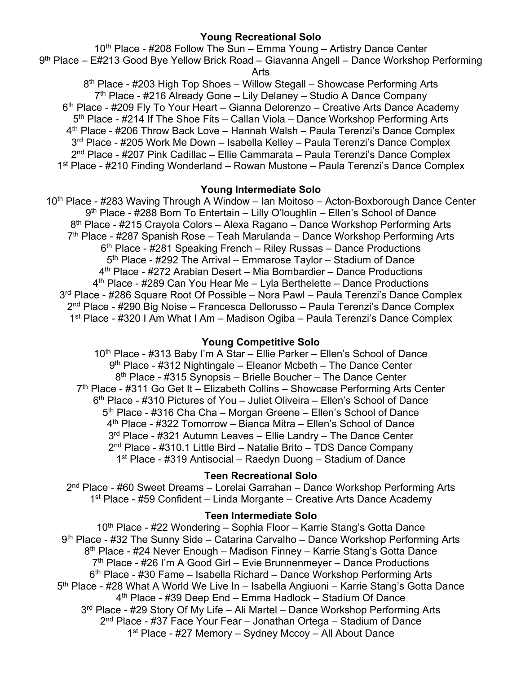## **Young Recreational Solo**

10<sup>th</sup> Place - #208 Follow The Sun – Emma Young – Artistry Dance Center 9th Place – E#213 Good Bye Yellow Brick Road – Giavanna Angell – Dance Workshop Performing Arts

8<sup>th</sup> Place - #203 High Top Shoes – Willow Stegall – Showcase Performing Arts  $7<sup>th</sup>$  Place - #216 Already Gone – Lily Delaney – Studio A Dance Company 6<sup>th</sup> Place - #209 Fly To Your Heart – Gianna Delorenzo – Creative Arts Dance Academy 5<sup>th</sup> Place - #214 If The Shoe Fits – Callan Viola – Dance Workshop Performing Arts 4th Place - #206 Throw Back Love – Hannah Walsh – Paula Terenzi's Dance Complex 3<sup>rd</sup> Place - #205 Work Me Down – Isabella Kelley – Paula Terenzi's Dance Complex 2<sup>nd</sup> Place - #207 Pink Cadillac – Ellie Cammarata – Paula Terenzi's Dance Complex 1st Place - #210 Finding Wonderland – Rowan Mustone – Paula Terenzi's Dance Complex

### **Young Intermediate Solo**

10<sup>th</sup> Place - #283 Waving Through A Window – Ian Moitoso – Acton-Boxborough Dance Center 9th Place - #288 Born To Entertain – Lilly O'loughlin – Ellen's School of Dance 8th Place - #215 Crayola Colors – Alexa Ragano – Dance Workshop Performing Arts 7<sup>th</sup> Place - #287 Spanish Rose – Teah Marulanda – Dance Workshop Performing Arts  $6<sup>th</sup>$  Place - #281 Speaking French – Riley Russas – Dance Productions 5<sup>th</sup> Place - #292 The Arrival – Emmarose Taylor – Stadium of Dance 4th Place - #272 Arabian Desert – Mia Bombardier – Dance Productions  $4<sup>th</sup>$  Place - #289 Can You Hear Me – Lyla Berthelette – Dance Productions 3rd Place - #286 Square Root Of Possible – Nora Pawl – Paula Terenzi's Dance Complex 2nd Place - #290 Big Noise – Francesca Dellorusso – Paula Terenzi's Dance Complex 1st Place - #320 I Am What I Am – Madison Ogiba – Paula Terenzi's Dance Complex

### **Young Competitive Solo**

10<sup>th</sup> Place - #313 Baby I'm A Star – Ellie Parker – Ellen's School of Dance 9<sup>th</sup> Place - #312 Nightingale – Eleanor Mcbeth – The Dance Center 8<sup>th</sup> Place - #315 Synopsis – Brielle Boucher – The Dance Center  $7<sup>th</sup>$  Place - #311 Go Get It – Elizabeth Collins – Showcase Performing Arts Center 6<sup>th</sup> Place - #310 Pictures of You – Juliet Oliveira – Ellen's School of Dance 5<sup>th</sup> Place - #316 Cha Cha – Morgan Greene – Ellen's School of Dance 4th Place - #322 Tomorrow – Bianca Mitra – Ellen's School of Dance 3rd Place - #321 Autumn Leaves – Ellie Landry – The Dance Center 2nd Place - #310.1 Little Bird – Natalie Brito – TDS Dance Company 1st Place - #319 Antisocial – Raedyn Duong – Stadium of Dance

#### **Teen Recreational Solo**

2nd Place - #60 Sweet Dreams – Lorelai Garrahan – Dance Workshop Performing Arts 1<sup>st</sup> Place - #59 Confident – Linda Morgante – Creative Arts Dance Academy

#### **Teen Intermediate Solo**

10<sup>th</sup> Place - #22 Wondering – Sophia Floor – Karrie Stang's Gotta Dance 9<sup>th</sup> Place - #32 The Sunny Side – Catarina Carvalho – Dance Workshop Performing Arts 8<sup>th</sup> Place - #24 Never Enough – Madison Finney – Karrie Stang's Gotta Dance 7<sup>th</sup> Place - #26 I'm A Good Girl – Evie Brunnenmeyer – Dance Productions 6th Place - #30 Fame – Isabella Richard – Dance Workshop Performing Arts 5th Place - #28 What A World We Live In – Isabella Angiuoni – Karrie Stang's Gotta Dance 4th Place - #39 Deep End – Emma Hadlock – Stadium Of Dance 3<sup>rd</sup> Place - #29 Story Of My Life – Ali Martel – Dance Workshop Performing Arts 2nd Place - #37 Face Your Fear – Jonathan Ortega – Stadium of Dance 1st Place - #27 Memory – Sydney Mccoy – All About Dance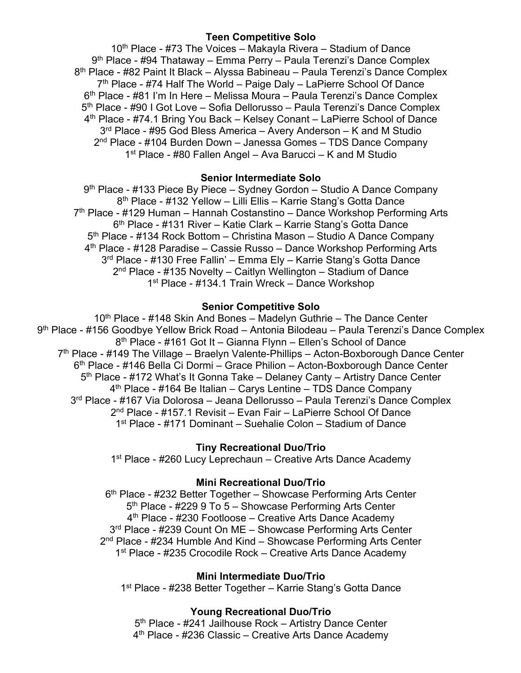# **Teen Competitive Solo**

10<sup>th</sup> Place - #73 The Voices – Makayla Rivera – Stadium of Dance  $9<sup>th</sup>$  Place - #94 Thataway – Emma Perry – Paula Terenzi's Dance Complex 8<sup>th</sup> Place - #82 Paint It Black – Alyssa Babineau – Paula Terenzi's Dance Complex 7<sup>th</sup> Place - #74 Half The World – Paige Daly – LaPierre School Of Dance 6th Place - #81 I'm In Here – Melissa Moura – Paula Terenzi's Dance Complex 5<sup>th</sup> Place - #90 I Got Love – Sofia Dellorusso – Paula Terenzi's Dance Complex 4th Place - #74.1 Bring You Back – Kelsey Conant – LaPierre School of Dance  $3<sup>rd</sup>$  Place - #95 God Bless America – Avery Anderson – K and M Studio 2nd Place - #104 Burden Down – Janessa Gomes – TDS Dance Company 1st Place - #80 Fallen Angel – Ava Barucci – K and M Studio

## **Senior Intermediate Solo**

9<sup>th</sup> Place - #133 Piece By Piece – Sydney Gordon – Studio A Dance Company 8th Place - #132 Yellow – Lilli Ellis – Karrie Stang's Gotta Dance 7<sup>th</sup> Place - #129 Human – Hannah Costanstino – Dance Workshop Performing Arts 6th Place - #131 River – Katie Clark – Karrie Stang's Gotta Dance 5th Place - #134 Rock Bottom – Christina Mason – Studio A Dance Company 4th Place - #128 Paradise – Cassie Russo – Dance Workshop Performing Arts 3<sup>rd</sup> Place - #130 Free Fallin' – Emma Ely – Karrie Stang's Gotta Dance 2nd Place - #135 Novelty – Caitlyn Wellington – Stadium of Dance 1st Place - #134.1 Train Wreck – Dance Workshop

## **Senior Competitive Solo**

10<sup>th</sup> Place - #148 Skin And Bones – Madelyn Guthrie – The Dance Center 9th Place - #156 Goodbye Yellow Brick Road – Antonia Bilodeau – Paula Terenzi's Dance Complex 8th Place - #161 Got It – Gianna Flynn – Ellen's School of Dance  $7<sup>th</sup>$  Place - #149 The Village – Braelyn Valente-Phillips – Acton-Boxborough Dance Center 6th Place - #146 Bella Ci Dormi – Grace Philion – Acton-Boxborough Dance Center 5<sup>th</sup> Place - #172 What's It Gonna Take – Delaney Canty – Artistry Dance Center  $4<sup>th</sup>$  Place - #164 Be Italian – Carys Lentine – TDS Dance Company 3rd Place - #167 Via Dolorosa – Jeana Dellorusso – Paula Terenzi's Dance Complex 2nd Place - #157.1 Revisit – Evan Fair – LaPierre School Of Dance 1st Place - #171 Dominant – Suehalie Colon – Stadium of Dance

## **Tiny Recreational Duo/Trio**

1<sup>st</sup> Place - #260 Lucy Leprechaun – Creative Arts Dance Academy

## **Mini Recreational Duo/Trio**

6th Place - #232 Better Together – Showcase Performing Arts Center 5<sup>th</sup> Place - #229 9 To 5 – Showcase Performing Arts Center 4<sup>th</sup> Place - #230 Footloose – Creative Arts Dance Academy 3<sup>rd</sup> Place - #239 Count On ME - Showcase Performing Arts Center 2<sup>nd</sup> Place - #234 Humble And Kind – Showcase Performing Arts Center 1<sup>st</sup> Place - #235 Crocodile Rock – Creative Arts Dance Academy

### **Mini Intermediate Duo/Trio**

1<sup>st</sup> Place - #238 Better Together – Karrie Stang's Gotta Dance

## **Young Recreational Duo/Trio**

5<sup>th</sup> Place - #241 Jailhouse Rock - Artistry Dance Center 4th Place - #236 Classic – Creative Arts Dance Academy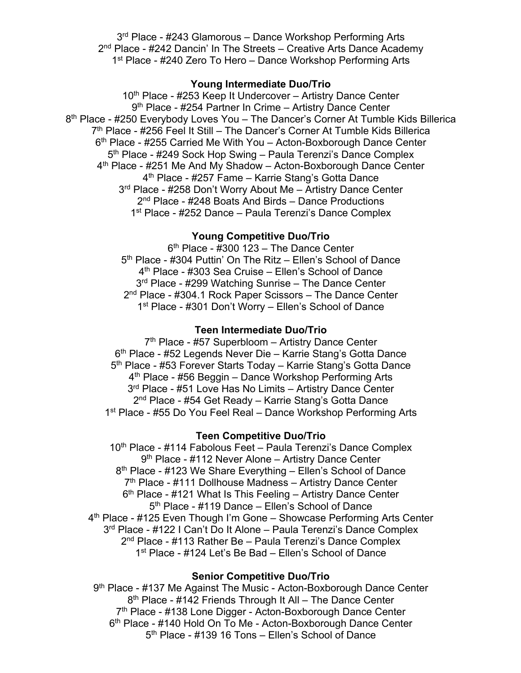3<sup>rd</sup> Place - #243 Glamorous - Dance Workshop Performing Arts 2<sup>nd</sup> Place - #242 Dancin' In The Streets – Creative Arts Dance Academy 1<sup>st</sup> Place - #240 Zero To Hero – Dance Workshop Performing Arts

#### **Young Intermediate Duo/Trio**

10<sup>th</sup> Place - #253 Keep It Undercover - Artistry Dance Center 9<sup>th</sup> Place - #254 Partner In Crime – Artistry Dance Center 8<sup>th</sup> Place - #250 Everybody Loves You – The Dancer's Corner At Tumble Kids Billerica 7<sup>th</sup> Place - #256 Feel It Still – The Dancer's Corner At Tumble Kids Billerica 6<sup>th</sup> Place - #255 Carried Me With You – Acton-Boxborough Dance Center 5<sup>th</sup> Place - #249 Sock Hop Swing – Paula Terenzi's Dance Complex 4<sup>th</sup> Place - #251 Me And My Shadow – Acton-Boxborough Dance Center 4<sup>th</sup> Place - #257 Fame – Karrie Stang's Gotta Dance 3<sup>rd</sup> Place - #258 Don't Worry About Me - Artistry Dance Center 2<sup>nd</sup> Place - #248 Boats And Birds – Dance Productions 1<sup>st</sup> Place - #252 Dance – Paula Terenzi's Dance Complex

## **Young Competitive Duo/Trio**

 $6<sup>th</sup>$  Place - #300 123 – The Dance Center 5<sup>th</sup> Place - #304 Puttin' On The Ritz – Ellen's School of Dance 4th Place - #303 Sea Cruise – Ellen's School of Dance 3<sup>rd</sup> Place - #299 Watching Sunrise – The Dance Center 2<sup>nd</sup> Place - #304.1 Rock Paper Scissors – The Dance Center 1<sup>st</sup> Place - #301 Don't Worry – Ellen's School of Dance

#### **Teen Intermediate Duo/Trio**

7<sup>th</sup> Place - #57 Superbloom - Artistry Dance Center 6<sup>th</sup> Place - #52 Legends Never Die – Karrie Stang's Gotta Dance 5th Place - #53 Forever Starts Today – Karrie Stang's Gotta Dance 4<sup>th</sup> Place - #56 Beggin – Dance Workshop Performing Arts 3<sup>rd</sup> Place - #51 Love Has No Limits – Artistry Dance Center 2<sup>nd</sup> Place - #54 Get Ready – Karrie Stang's Gotta Dance 1<sup>st</sup> Place - #55 Do You Feel Real – Dance Workshop Performing Arts

#### **Teen Competitive Duo/Trio**

10<sup>th</sup> Place - #114 Fabolous Feet – Paula Terenzi's Dance Complex 9th Place - #112 Never Alone – Artistry Dance Center 8<sup>th</sup> Place - #123 We Share Everything – Ellen's School of Dance 7<sup>th</sup> Place - #111 Dollhouse Madness – Artistry Dance Center  $6<sup>th</sup>$  Place - #121 What Is This Feeling – Artistry Dance Center 5<sup>th</sup> Place - #119 Dance – Ellen's School of Dance 4th Place - #125 Even Though I'm Gone – Showcase Performing Arts Center 3<sup>rd</sup> Place - #122 I Can't Do It Alone – Paula Terenzi's Dance Complex 2<sup>nd</sup> Place - #113 Rather Be – Paula Terenzi's Dance Complex 1<sup>st</sup> Place - #124 Let's Be Bad – Ellen's School of Dance

#### **Senior Competitive Duo/Trio**

9th Place - #137 Me Against The Music - Acton-Boxborough Dance Center 8<sup>th</sup> Place - #142 Friends Through It All – The Dance Center 7<sup>th</sup> Place - #138 Lone Digger - Acton-Boxborough Dance Center 6th Place - #140 Hold On To Me - Acton-Boxborough Dance Center 5<sup>th</sup> Place - #139 16 Tons – Ellen's School of Dance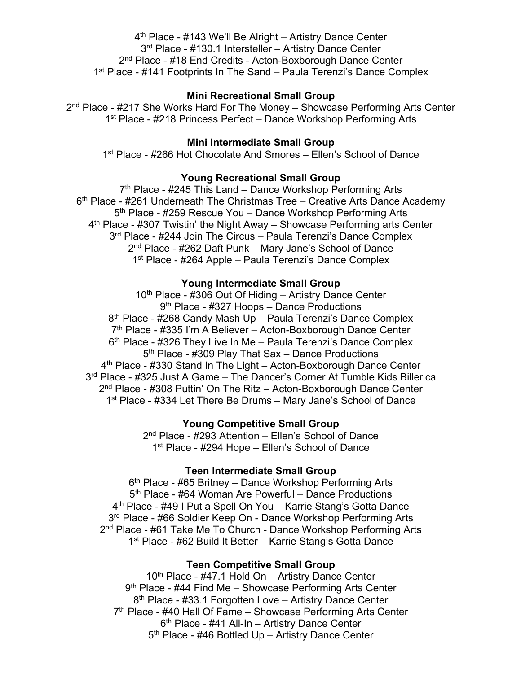4th Place - #143 We'll Be Alright – Artistry Dance Center 3<sup>rd</sup> Place - #130.1 Intersteller – Artistry Dance Center 2<sup>nd</sup> Place - #18 End Credits - Acton-Boxborough Dance Center 1<sup>st</sup> Place - #141 Footprints In The Sand – Paula Terenzi's Dance Complex

### **Mini Recreational Small Group**

2<sup>nd</sup> Place - #217 She Works Hard For The Money – Showcase Performing Arts Center 1<sup>st</sup> Place - #218 Princess Perfect – Dance Workshop Performing Arts

## **Mini Intermediate Small Group**

1<sup>st</sup> Place - #266 Hot Chocolate And Smores – Ellen's School of Dance

# **Young Recreational Small Group**

7<sup>th</sup> Place - #245 This Land – Dance Workshop Performing Arts  $6<sup>th</sup>$  Place - #261 Underneath The Christmas Tree – Creative Arts Dance Academy 5<sup>th</sup> Place - #259 Rescue You - Dance Workshop Performing Arts 4th Place - #307 Twistin' the Night Away – Showcase Performing arts Center 3<sup>rd</sup> Place - #244 Join The Circus – Paula Terenzi's Dance Complex 2<sup>nd</sup> Place - #262 Daft Punk – Mary Jane's School of Dance 1<sup>st</sup> Place - #264 Apple – Paula Terenzi's Dance Complex

#### **Young Intermediate Small Group**

 $10<sup>th</sup>$  Place - #306 Out Of Hiding – Artistry Dance Center 9<sup>th</sup> Place - #327 Hoops – Dance Productions 8<sup>th</sup> Place - #268 Candy Mash Up – Paula Terenzi's Dance Complex 7th Place - #335 I'm A Believer – Acton-Boxborough Dance Center 6<sup>th</sup> Place - #326 They Live In Me - Paula Terenzi's Dance Complex 5<sup>th</sup> Place - #309 Play That Sax – Dance Productions 4th Place - #330 Stand In The Light – Acton-Boxborough Dance Center 3<sup>rd</sup> Place - #325 Just A Game – The Dancer's Corner At Tumble Kids Billerica 2<sup>nd</sup> Place - #308 Puttin' On The Ritz – Acton-Boxborough Dance Center 1st Place - #334 Let There Be Drums – Mary Jane's School of Dance

#### **Young Competitive Small Group**

2nd Place - #293 Attention – Ellen's School of Dance 1<sup>st</sup> Place - #294 Hope – Ellen's School of Dance

#### **Teen Intermediate Small Group**

6th Place - #65 Britney – Dance Workshop Performing Arts 5<sup>th</sup> Place - #64 Woman Are Powerful – Dance Productions 4th Place - #49 I Put a Spell On You – Karrie Stang's Gotta Dance 3<sup>rd</sup> Place - #66 Soldier Keep On - Dance Workshop Performing Arts 2<sup>nd</sup> Place - #61 Take Me To Church - Dance Workshop Performing Arts 1<sup>st</sup> Place - #62 Build It Better – Karrie Stang's Gotta Dance

#### **Teen Competitive Small Group**

10<sup>th</sup> Place - #47.1 Hold On – Artistry Dance Center 9<sup>th</sup> Place - #44 Find Me – Showcase Performing Arts Center 8<sup>th</sup> Place - #33.1 Forgotten Love – Artistry Dance Center 7<sup>th</sup> Place - #40 Hall Of Fame – Showcase Performing Arts Center 6th Place - #41 All-In – Artistry Dance Center 5<sup>th</sup> Place - #46 Bottled Up – Artistry Dance Center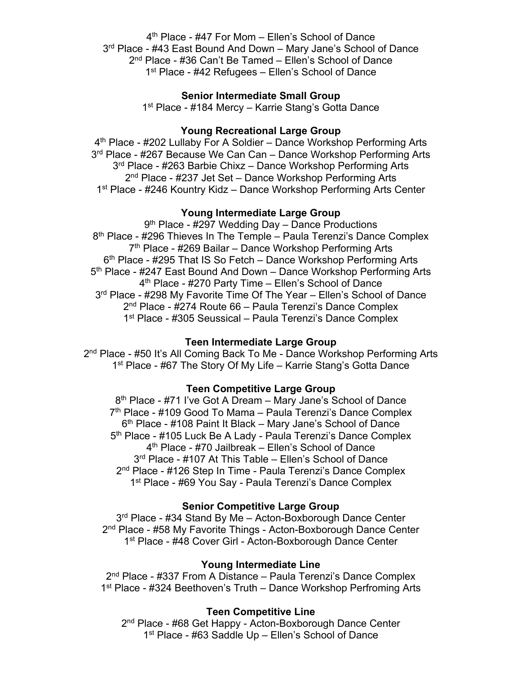4th Place - #47 For Mom – Ellen's School of Dance 3<sup>rd</sup> Place - #43 East Bound And Down – Mary Jane's School of Dance 2nd Place - #36 Can't Be Tamed – Ellen's School of Dance 1<sup>st</sup> Place - #42 Refugees – Ellen's School of Dance

## **Senior Intermediate Small Group**

1<sup>st</sup> Place - #184 Mercy – Karrie Stang's Gotta Dance

## **Young Recreational Large Group**

4<sup>th</sup> Place - #202 Lullaby For A Soldier – Dance Workshop Performing Arts 3<sup>rd</sup> Place - #267 Because We Can Can – Dance Workshop Performing Arts 3<sup>rd</sup> Place - #263 Barbie Chixz – Dance Workshop Performing Arts 2<sup>nd</sup> Place - #237 Jet Set – Dance Workshop Performing Arts 1<sup>st</sup> Place - #246 Kountry Kidz – Dance Workshop Performing Arts Center

#### **Young Intermediate Large Group**

9<sup>th</sup> Place - #297 Wedding Day – Dance Productions 8th Place - #296 Thieves In The Temple – Paula Terenzi's Dance Complex 7<sup>th</sup> Place - #269 Bailar – Dance Workshop Performing Arts 6<sup>th</sup> Place - #295 That IS So Fetch – Dance Workshop Performing Arts 5<sup>th</sup> Place - #247 East Bound And Down – Dance Workshop Performing Arts 4th Place - #270 Party Time – Ellen's School of Dance 3<sup>rd</sup> Place - #298 My Favorite Time Of The Year – Ellen's School of Dance 2<sup>nd</sup> Place - #274 Route 66 – Paula Terenzi's Dance Complex 1<sup>st</sup> Place - #305 Seussical – Paula Terenzi's Dance Complex

### **Teen Intermediate Large Group**

2<sup>nd</sup> Place - #50 It's All Coming Back To Me - Dance Workshop Performing Arts 1st Place - #67 The Story Of My Life – Karrie Stang's Gotta Dance

#### **Teen Competitive Large Group**

8<sup>th</sup> Place - #71 I've Got A Dream – Mary Jane's School of Dance 7<sup>th</sup> Place - #109 Good To Mama – Paula Terenzi's Dance Complex 6th Place - #108 Paint It Black – Mary Jane's School of Dance 5<sup>th</sup> Place - #105 Luck Be A Lady - Paula Terenzi's Dance Complex 4th Place - #70 Jailbreak – Ellen's School of Dance 3<sup>rd</sup> Place - #107 At This Table – Ellen's School of Dance 2<sup>nd</sup> Place - #126 Step In Time - Paula Terenzi's Dance Complex 1<sup>st</sup> Place - #69 You Say - Paula Terenzi's Dance Complex

#### **Senior Competitive Large Group**

3<sup>rd</sup> Place - #34 Stand By Me - Acton-Boxborough Dance Center 2<sup>nd</sup> Place - #58 My Favorite Things - Acton-Boxborough Dance Center 1<sup>st</sup> Place - #48 Cover Girl - Acton-Boxborough Dance Center

#### **Young Intermediate Line**

2<sup>nd</sup> Place - #337 From A Distance – Paula Terenzi's Dance Complex 1<sup>st</sup> Place - #324 Beethoven's Truth – Dance Workshop Perfroming Arts

#### **Teen Competitive Line**

2<sup>nd</sup> Place - #68 Get Happy - Acton-Boxborough Dance Center 1<sup>st</sup> Place - #63 Saddle Up – Ellen's School of Dance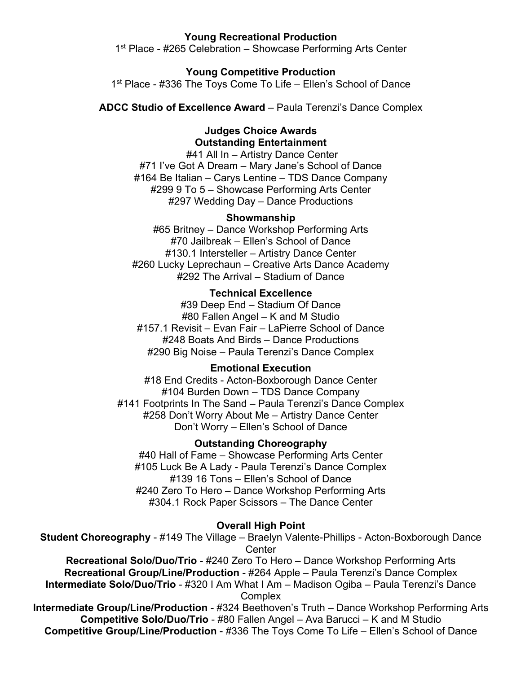## **Young Recreational Production**

1<sup>st</sup> Place - #265 Celebration – Showcase Performing Arts Center

#### **Young Competitive Production**

1<sup>st</sup> Place - #336 The Toys Come To Life – Ellen's School of Dance

**ADCC Studio of Excellence Award** – Paula Terenzi's Dance Complex

### **Judges Choice Awards Outstanding Entertainment**

#41 All In – Artistry Dance Center #71 I've Got A Dream – Mary Jane's School of Dance #164 Be Italian – Carys Lentine – TDS Dance Company #299 9 To 5 – Showcase Performing Arts Center #297 Wedding Day – Dance Productions

#### **Showmanship**

#65 Britney – Dance Workshop Performing Arts #70 Jailbreak – Ellen's School of Dance #130.1 Intersteller – Artistry Dance Center #260 Lucky Leprechaun – Creative Arts Dance Academy #292 The Arrival – Stadium of Dance

## **Technical Excellence**

#39 Deep End – Stadium Of Dance #80 Fallen Angel – K and M Studio #157.1 Revisit – Evan Fair – LaPierre School of Dance #248 Boats And Birds – Dance Productions #290 Big Noise – Paula Terenzi's Dance Complex

#### **Emotional Execution**

#18 End Credits - Acton-Boxborough Dance Center #104 Burden Down – TDS Dance Company #141 Footprints In The Sand – Paula Terenzi's Dance Complex #258 Don't Worry About Me – Artistry Dance Center Don't Worry – Ellen's School of Dance

## **Outstanding Choreography**

#40 Hall of Fame – Showcase Performing Arts Center #105 Luck Be A Lady - Paula Terenzi's Dance Complex #139 16 Tons – Ellen's School of Dance #240 Zero To Hero – Dance Workshop Performing Arts #304.1 Rock Paper Scissors – The Dance Center

#### **Overall High Point**

**Student Choreography** - #149 The Village – Braelyn Valente-Phillips - Acton-Boxborough Dance **Center** 

**Recreational Solo/Duo/Trio** - #240 Zero To Hero – Dance Workshop Performing Arts **Recreational Group/Line/Production** - #264 Apple – Paula Terenzi's Dance Complex **Intermediate Solo/Duo/Trio** - #320 I Am What I Am – Madison Ogiba – Paula Terenzi's Dance **Complex** 

**Intermediate Group/Line/Production** - #324 Beethoven's Truth – Dance Workshop Performing Arts **Competitive Solo/Duo/Trio** - #80 Fallen Angel – Ava Barucci – K and M Studio **Competitive Group/Line/Production** - #336 The Toys Come To Life – Ellen's School of Dance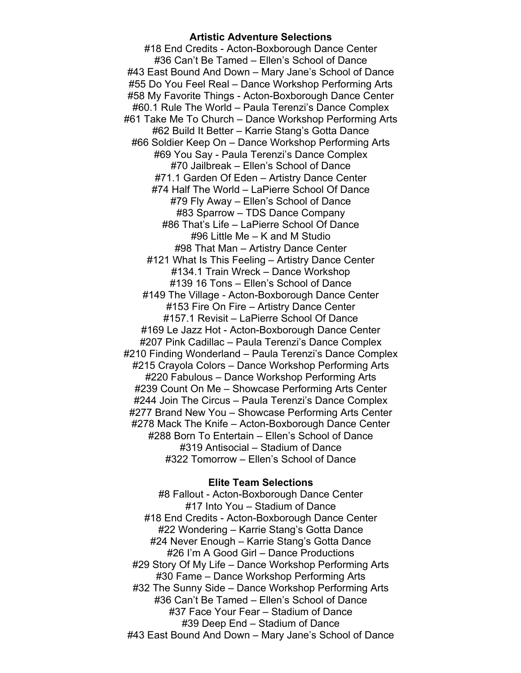### **Artistic Adventure Selections**

#18 End Credits - Acton-Boxborough Dance Center #36 Can't Be Tamed – Ellen's School of Dance #43 East Bound And Down – Mary Jane's School of Dance #55 Do You Feel Real – Dance Workshop Performing Arts #58 My Favorite Things - Acton-Boxborough Dance Center #60.1 Rule The World – Paula Terenzi's Dance Complex #61 Take Me To Church – Dance Workshop Performing Arts #62 Build It Better – Karrie Stang's Gotta Dance #66 Soldier Keep On – Dance Workshop Performing Arts #69 You Say - Paula Terenzi's Dance Complex #70 Jailbreak – Ellen's School of Dance #71.1 Garden Of Eden – Artistry Dance Center #74 Half The World – LaPierre School Of Dance #79 Fly Away – Ellen's School of Dance #83 Sparrow – TDS Dance Company #86 That's Life – LaPierre School Of Dance #96 Little Me – K and M Studio #98 That Man – Artistry Dance Center #121 What Is This Feeling – Artistry Dance Center #134.1 Train Wreck – Dance Workshop #139 16 Tons – Ellen's School of Dance #149 The Village - Acton-Boxborough Dance Center #153 Fire On Fire – Artistry Dance Center #157.1 Revisit – LaPierre School Of Dance #169 Le Jazz Hot - Acton-Boxborough Dance Center #207 Pink Cadillac – Paula Terenzi's Dance Complex #210 Finding Wonderland – Paula Terenzi's Dance Complex #215 Crayola Colors – Dance Workshop Performing Arts #220 Fabulous – Dance Workshop Performing Arts #239 Count On Me – Showcase Performing Arts Center #244 Join The Circus – Paula Terenzi's Dance Complex #277 Brand New You – Showcase Performing Arts Center #278 Mack The Knife – Acton-Boxborough Dance Center #288 Born To Entertain – Ellen's School of Dance #319 Antisocial – Stadium of Dance #322 Tomorrow – Ellen's School of Dance

#### **Elite Team Selections**

#8 Fallout - Acton-Boxborough Dance Center #17 Into You – Stadium of Dance #18 End Credits - Acton-Boxborough Dance Center #22 Wondering – Karrie Stang's Gotta Dance #24 Never Enough – Karrie Stang's Gotta Dance #26 I'm A Good Girl – Dance Productions #29 Story Of My Life – Dance Workshop Performing Arts #30 Fame – Dance Workshop Performing Arts #32 The Sunny Side – Dance Workshop Performing Arts #36 Can't Be Tamed – Ellen's School of Dance #37 Face Your Fear – Stadium of Dance #39 Deep End – Stadium of Dance #43 East Bound And Down – Mary Jane's School of Dance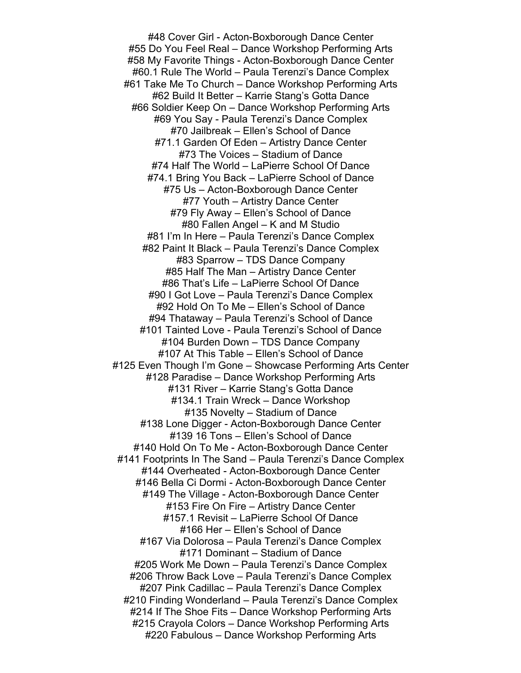#48 Cover Girl - Acton-Boxborough Dance Center #55 Do You Feel Real – Dance Workshop Performing Arts #58 My Favorite Things - Acton-Boxborough Dance Center #60.1 Rule The World – Paula Terenzi's Dance Complex #61 Take Me To Church – Dance Workshop Performing Arts #62 Build It Better – Karrie Stang's Gotta Dance #66 Soldier Keep On – Dance Workshop Performing Arts #69 You Say - Paula Terenzi's Dance Complex #70 Jailbreak – Ellen's School of Dance #71.1 Garden Of Eden – Artistry Dance Center #73 The Voices – Stadium of Dance #74 Half The World – LaPierre School Of Dance #74.1 Bring You Back – LaPierre School of Dance #75 Us – Acton-Boxborough Dance Center #77 Youth – Artistry Dance Center #79 Fly Away – Ellen's School of Dance #80 Fallen Angel – K and M Studio #81 I'm In Here – Paula Terenzi's Dance Complex #82 Paint It Black – Paula Terenzi's Dance Complex #83 Sparrow – TDS Dance Company #85 Half The Man – Artistry Dance Center #86 That's Life – LaPierre School Of Dance #90 I Got Love – Paula Terenzi's Dance Complex #92 Hold On To Me – Ellen's School of Dance #94 Thataway – Paula Terenzi's School of Dance #101 Tainted Love - Paula Terenzi's School of Dance #104 Burden Down – TDS Dance Company #107 At This Table – Ellen's School of Dance #125 Even Though I'm Gone – Showcase Performing Arts Center #128 Paradise – Dance Workshop Performing Arts #131 River – Karrie Stang's Gotta Dance #134.1 Train Wreck – Dance Workshop #135 Novelty – Stadium of Dance #138 Lone Digger - Acton-Boxborough Dance Center #139 16 Tons – Ellen's School of Dance #140 Hold On To Me - Acton-Boxborough Dance Center #141 Footprints In The Sand – Paula Terenzi's Dance Complex #144 Overheated - Acton-Boxborough Dance Center #146 Bella Ci Dormi - Acton-Boxborough Dance Center #149 The Village - Acton-Boxborough Dance Center #153 Fire On Fire – Artistry Dance Center #157.1 Revisit – LaPierre School Of Dance #166 Her – Ellen's School of Dance #167 Via Dolorosa – Paula Terenzi's Dance Complex #171 Dominant – Stadium of Dance #205 Work Me Down – Paula Terenzi's Dance Complex #206 Throw Back Love – Paula Terenzi's Dance Complex #207 Pink Cadillac – Paula Terenzi's Dance Complex #210 Finding Wonderland – Paula Terenzi's Dance Complex #214 If The Shoe Fits – Dance Workshop Performing Arts #215 Crayola Colors – Dance Workshop Performing Arts #220 Fabulous – Dance Workshop Performing Arts